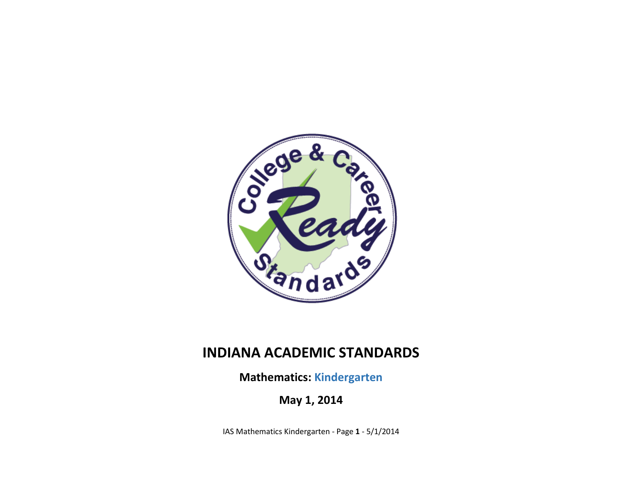

# **INDIANA ACADEMIC STANDARDS**

**Mathematics: Kindergarten**

**May 1, 2014**

IAS Mathematics Kindergarten - Page **1** - 5/1/2014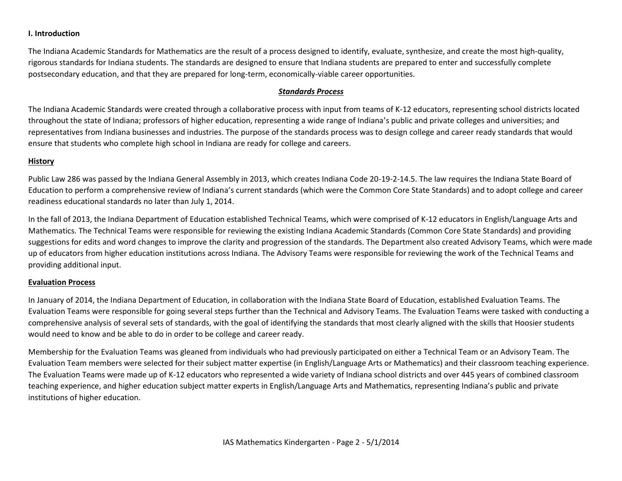#### **I. Introduction**

The Indiana Academic Standards for Mathematics are the result of a process designed to identify, evaluate, synthesize, and create the most high-quality, rigorous standards for Indiana students. The standards are designed to ensure that Indiana students are prepared to enter and successfully complete postsecondary education, and that they are prepared for long-term, economically-viable career opportunities.

#### *Standards Process*

The Indiana Academic Standards were created through a collaborative process with input from teams of K-12 educators, representing school districts located throughout the state of Indiana; professors of higher education, representing a wide range of Indiana's public and private colleges and universities; and representatives from Indiana businesses and industries. The purpose of the standards process was to design college and career ready standards that would ensure that students who complete high school in Indiana are ready for college and careers.

#### **History**

Public Law 286 was passed by the Indiana General Assembly in 2013, which creates Indiana Code 20-19-2-14.5. The law requires the Indiana State Board of Education to perform a comprehensive review of Indiana's current standards (which were the Common Core State Standards) and to adopt college and career readiness educational standards no later than July 1, 2014.

In the fall of 2013, the Indiana Department of Education established Technical Teams, which were comprised of K-12 educators in English/Language Arts and Mathematics. The Technical Teams were responsible for reviewing the existing Indiana Academic Standards (Common Core State Standards) and providing suggestions for edits and word changes to improve the clarity and progression of the standards. The Department also created Advisory Teams, which were made up of educators from higher education institutions across Indiana. The Advisory Teams were responsible for reviewing the work of the Technical Teams and providing additional input.

#### **Evaluation Process**

In January of 2014, the Indiana Department of Education, in collaboration with the Indiana State Board of Education, established Evaluation Teams. The Evaluation Teams were responsible for going several steps further than the Technical and Advisory Teams. The Evaluation Teams were tasked with conducting a comprehensive analysis of several sets of standards, with the goal of identifying the standards that most clearly aligned with the skills that Hoosier students would need to know and be able to do in order to be college and career ready.

Membership for the Evaluation Teams was gleaned from individuals who had previously participated on either a Technical Team or an Advisory Team. The Evaluation Team members were selected for their subject matter expertise (in English/Language Arts or Mathematics) and their classroom teaching experience. The Evaluation Teams were made up of K-12 educators who represented a wide variety of Indiana school districts and over 445 years of combined classroom teaching experience, and higher education subject matter experts in English/Language Arts and Mathematics, representing Indiana's public and private institutions of higher education.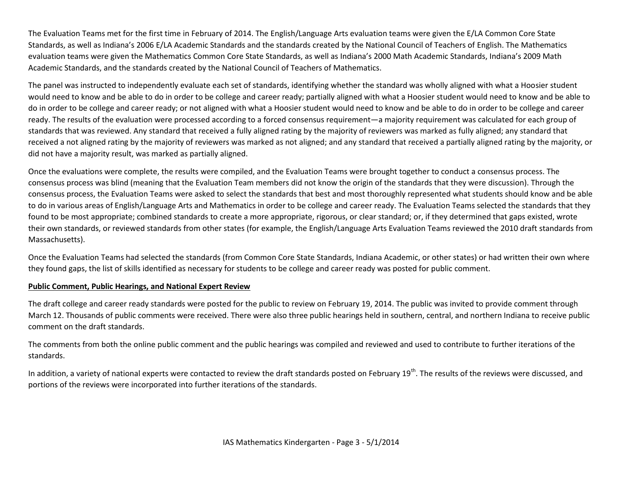The Evaluation Teams met for the first time in February of 2014. The English/Language Arts evaluation teams were given the E/LA Common Core State Standards, as well as Indiana's 2006 E/LA Academic Standards and the standards created by the National Council of Teachers of English. The Mathematics evaluation teams were given the Mathematics Common Core State Standards, as well as Indiana's 2000 Math Academic Standards, Indiana's 2009 Math Academic Standards, and the standards created by the National Council of Teachers of Mathematics.

The panel was instructed to independently evaluate each set of standards, identifying whether the standard was wholly aligned with what a Hoosier student would need to know and be able to do in order to be college and career ready; partially aligned with what a Hoosier student would need to know and be able to do in order to be college and career ready; or not aligned with what a Hoosier student would need to know and be able to do in order to be college and career ready. The results of the evaluation were processed according to a forced consensus requirement—a majority requirement was calculated for each group of standards that was reviewed. Any standard that received a fully aligned rating by the majority of reviewers was marked as fully aligned; any standard that received a not aligned rating by the majority of reviewers was marked as not aligned; and any standard that received a partially aligned rating by the majority, or did not have a majority result, was marked as partially aligned.

Once the evaluations were complete, the results were compiled, and the Evaluation Teams were brought together to conduct a consensus process. The consensus process was blind (meaning that the Evaluation Team members did not know the origin of the standards that they were discussion). Through the consensus process, the Evaluation Teams were asked to select the standards that best and most thoroughly represented what students should know and be able to do in various areas of English/Language Arts and Mathematics in order to be college and career ready. The Evaluation Teams selected the standards that they found to be most appropriate; combined standards to create a more appropriate, rigorous, or clear standard; or, if they determined that gaps existed, wrote their own standards, or reviewed standards from other states (for example, the English/Language Arts Evaluation Teams reviewed the 2010 draft standards from Massachusetts).

Once the Evaluation Teams had selected the standards (from Common Core State Standards, Indiana Academic, or other states) or had written their own where they found gaps, the list of skills identified as necessary for students to be college and career ready was posted for public comment.

#### **Public Comment, Public Hearings, and National Expert Review**

The draft college and career ready standards were posted for the public to review on February 19, 2014. The public was invited to provide comment through March 12. Thousands of public comments were received. There were also three public hearings held in southern, central, and northern Indiana to receive public comment on the draft standards.

The comments from both the online public comment and the public hearings was compiled and reviewed and used to contribute to further iterations of the standards.

In addition, a variety of national experts were contacted to review the draft standards posted on February  $19<sup>th</sup>$ . The results of the reviews were discussed, and portions of the reviews were incorporated into further iterations of the standards.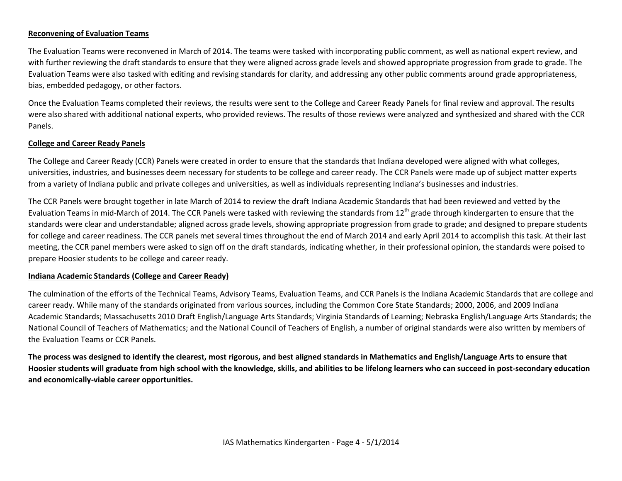#### **Reconvening of Evaluation Teams**

The Evaluation Teams were reconvened in March of 2014. The teams were tasked with incorporating public comment, as well as national expert review, and with further reviewing the draft standards to ensure that they were aligned across grade levels and showed appropriate progression from grade to grade. The Evaluation Teams were also tasked with editing and revising standards for clarity, and addressing any other public comments around grade appropriateness, bias, embedded pedagogy, or other factors.

Once the Evaluation Teams completed their reviews, the results were sent to the College and Career Ready Panels for final review and approval. The results were also shared with additional national experts, who provided reviews. The results of those reviews were analyzed and synthesized and shared with the CCR Panels.

#### **College and Career Ready Panels**

The College and Career Ready (CCR) Panels were created in order to ensure that the standards that Indiana developed were aligned with what colleges, universities, industries, and businesses deem necessary for students to be college and career ready. The CCR Panels were made up of subject matter experts from a variety of Indiana public and private colleges and universities, as well as individuals representing Indiana's businesses and industries.

The CCR Panels were brought together in late March of 2014 to review the draft Indiana Academic Standards that had been reviewed and vetted by the Evaluation Teams in mid-March of 2014. The CCR Panels were tasked with reviewing the standards from 12<sup>th</sup> grade through kindergarten to ensure that the standards were clear and understandable; aligned across grade levels, showing appropriate progression from grade to grade; and designed to prepare students for college and career readiness. The CCR panels met several times throughout the end of March 2014 and early April 2014 to accomplish this task. At their last meeting, the CCR panel members were asked to sign off on the draft standards, indicating whether, in their professional opinion, the standards were poised to prepare Hoosier students to be college and career ready.

#### **Indiana Academic Standards (College and Career Ready)**

The culmination of the efforts of the Technical Teams, Advisory Teams, Evaluation Teams, and CCR Panels is the Indiana Academic Standards that are college and career ready. While many of the standards originated from various sources, including the Common Core State Standards; 2000, 2006, and 2009 Indiana Academic Standards; Massachusetts 2010 Draft English/Language Arts Standards; Virginia Standards of Learning; Nebraska English/Language Arts Standards; the National Council of Teachers of Mathematics; and the National Council of Teachers of English, a number of original standards were also written by members of the Evaluation Teams or CCR Panels.

**The process was designed to identify the clearest, most rigorous, and best aligned standards in Mathematics and English/Language Arts to ensure that Hoosier students will graduate from high school with the knowledge, skills, and abilities to be lifelong learners who can succeed in post-secondary education and economically-viable career opportunities.**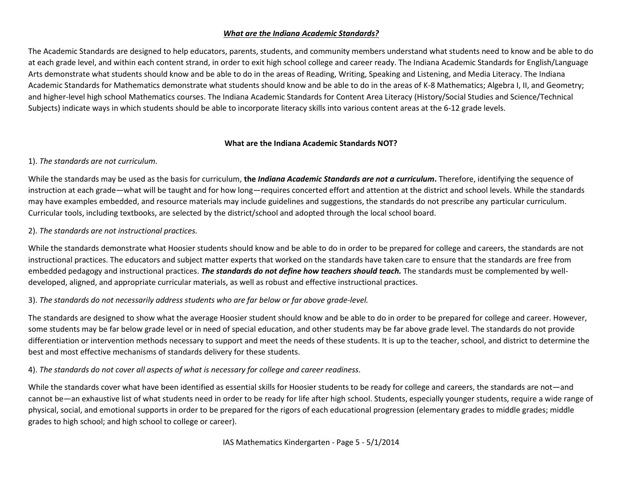#### *What are the Indiana Academic Standards?*

The Academic Standards are designed to help educators, parents, students, and community members understand what students need to know and be able to do at each grade level, and within each content strand, in order to exit high school college and career ready. The Indiana Academic Standards for English/Language Arts demonstrate what students should know and be able to do in the areas of Reading, Writing, Speaking and Listening, and Media Literacy. The Indiana Academic Standards for Mathematics demonstrate what students should know and be able to do in the areas of K-8 Mathematics; Algebra I, II, and Geometry; and higher-level high school Mathematics courses. The Indiana Academic Standards for Content Area Literacy (History/Social Studies and Science/Technical Subjects) indicate ways in which students should be able to incorporate literacy skills into various content areas at the 6-12 grade levels.

#### **What are the Indiana Academic Standards NOT?**

### 1). *The standards are not curriculum.*

While the standards may be used as the basis for curriculum, **the** *Indiana Academic Standards are not a curriculum***.** Therefore, identifying the sequence of instruction at each grade—what will be taught and for how long—requires concerted effort and attention at the district and school levels. While the standards may have examples embedded, and resource materials may include guidelines and suggestions, the standards do not prescribe any particular curriculum. Curricular tools, including textbooks, are selected by the district/school and adopted through the local school board.

### 2). *The standards are not instructional practices.*

While the standards demonstrate what Hoosier students should know and be able to do in order to be prepared for college and careers, the standards are not instructional practices. The educators and subject matter experts that worked on the standards have taken care to ensure that the standards are free from embedded pedagogy and instructional practices. *The standards do not define how teachers should teach.* The standards must be complemented by welldeveloped, aligned, and appropriate curricular materials, as well as robust and effective instructional practices.

## 3). *The standards do not necessarily address students who are far below or far above grade-level.*

The standards are designed to show what the average Hoosier student should know and be able to do in order to be prepared for college and career. However, some students may be far below grade level or in need of special education, and other students may be far above grade level. The standards do not provide differentiation or intervention methods necessary to support and meet the needs of these students. It is up to the teacher, school, and district to determine the best and most effective mechanisms of standards delivery for these students.

## 4). *The standards do not cover all aspects of what is necessary for college and career readiness.*

While the standards cover what have been identified as essential skills for Hoosier students to be ready for college and careers, the standards are not—and cannot be—an exhaustive list of what students need in order to be ready for life after high school. Students, especially younger students, require a wide range of physical, social, and emotional supports in order to be prepared for the rigors of each educational progression (elementary grades to middle grades; middle grades to high school; and high school to college or career).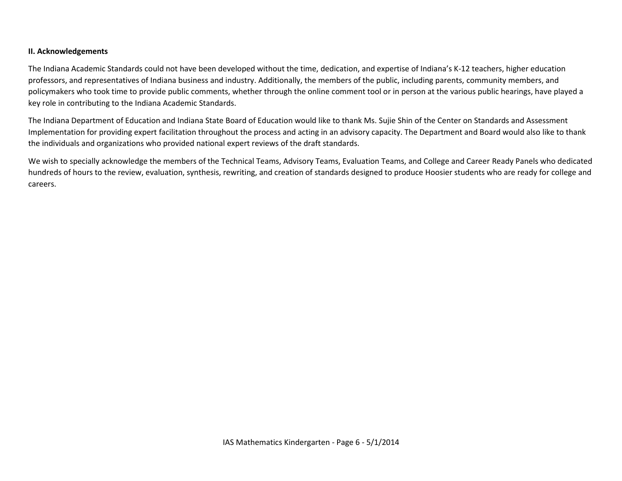#### **II. Acknowledgements**

The Indiana Academic Standards could not have been developed without the time, dedication, and expertise of Indiana's K-12 teachers, higher education professors, and representatives of Indiana business and industry. Additionally, the members of the public, including parents, community members, and policymakers who took time to provide public comments, whether through the online comment tool or in person at the various public hearings, have played a key role in contributing to the Indiana Academic Standards.

The Indiana Department of Education and Indiana State Board of Education would like to thank Ms. Sujie Shin of the Center on Standards and Assessment Implementation for providing expert facilitation throughout the process and acting in an advisory capacity. The Department and Board would also like to thank the individuals and organizations who provided national expert reviews of the draft standards.

We wish to specially acknowledge the members of the Technical Teams, Advisory Teams, Evaluation Teams, and College and Career Ready Panels who dedicated hundreds of hours to the review, evaluation, synthesis, rewriting, and creation of standards designed to produce Hoosier students who are ready for college and careers.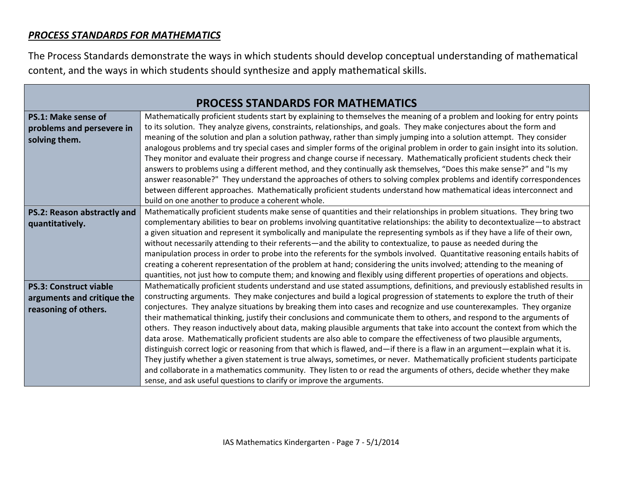# *PROCESS STANDARDS FOR MATHEMATICS*

The Process Standards demonstrate the ways in which students should develop conceptual understanding of mathematical content, and the ways in which students should synthesize and apply mathematical skills.

| PS.1: Make sense of<br>problems and persevere in<br>solving them.                   | <b>PROCESS STANDARDS FOR MATHEMATICS</b><br>Mathematically proficient students start by explaining to themselves the meaning of a problem and looking for entry points<br>to its solution. They analyze givens, constraints, relationships, and goals. They make conjectures about the form and<br>meaning of the solution and plan a solution pathway, rather than simply jumping into a solution attempt. They consider<br>analogous problems and try special cases and simpler forms of the original problem in order to gain insight into its solution.<br>They monitor and evaluate their progress and change course if necessary. Mathematically proficient students check their<br>answers to problems using a different method, and they continually ask themselves, "Does this make sense?" and "Is my                                                                                                                                                                                                                                                                                                                                                                                                                |
|-------------------------------------------------------------------------------------|--------------------------------------------------------------------------------------------------------------------------------------------------------------------------------------------------------------------------------------------------------------------------------------------------------------------------------------------------------------------------------------------------------------------------------------------------------------------------------------------------------------------------------------------------------------------------------------------------------------------------------------------------------------------------------------------------------------------------------------------------------------------------------------------------------------------------------------------------------------------------------------------------------------------------------------------------------------------------------------------------------------------------------------------------------------------------------------------------------------------------------------------------------------------------------------------------------------------------------|
|                                                                                     | answer reasonable?" They understand the approaches of others to solving complex problems and identify correspondences<br>between different approaches. Mathematically proficient students understand how mathematical ideas interconnect and<br>build on one another to produce a coherent whole.                                                                                                                                                                                                                                                                                                                                                                                                                                                                                                                                                                                                                                                                                                                                                                                                                                                                                                                              |
| PS.2: Reason abstractly and<br>quantitatively.                                      | Mathematically proficient students make sense of quantities and their relationships in problem situations. They bring two<br>complementary abilities to bear on problems involving quantitative relationships: the ability to decontextualize-to abstract<br>a given situation and represent it symbolically and manipulate the representing symbols as if they have a life of their own,<br>without necessarily attending to their referents—and the ability to contextualize, to pause as needed during the<br>manipulation process in order to probe into the referents for the symbols involved. Quantitative reasoning entails habits of<br>creating a coherent representation of the problem at hand; considering the units involved; attending to the meaning of<br>quantities, not just how to compute them; and knowing and flexibly using different properties of operations and objects.                                                                                                                                                                                                                                                                                                                            |
| <b>PS.3: Construct viable</b><br>arguments and critique the<br>reasoning of others. | Mathematically proficient students understand and use stated assumptions, definitions, and previously established results in<br>constructing arguments. They make conjectures and build a logical progression of statements to explore the truth of their<br>conjectures. They analyze situations by breaking them into cases and recognize and use counterexamples. They organize<br>their mathematical thinking, justify their conclusions and communicate them to others, and respond to the arguments of<br>others. They reason inductively about data, making plausible arguments that take into account the context from which the<br>data arose. Mathematically proficient students are also able to compare the effectiveness of two plausible arguments,<br>distinguish correct logic or reasoning from that which is flawed, and—if there is a flaw in an argument—explain what it is.<br>They justify whether a given statement is true always, sometimes, or never. Mathematically proficient students participate<br>and collaborate in a mathematics community. They listen to or read the arguments of others, decide whether they make<br>sense, and ask useful questions to clarify or improve the arguments. |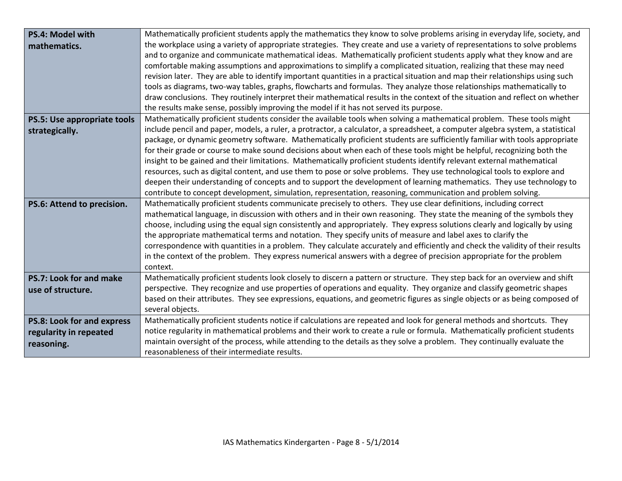| PS.4: Model with            | Mathematically proficient students apply the mathematics they know to solve problems arising in everyday life, society, and    |
|-----------------------------|--------------------------------------------------------------------------------------------------------------------------------|
| mathematics.                | the workplace using a variety of appropriate strategies. They create and use a variety of representations to solve problems    |
|                             | and to organize and communicate mathematical ideas. Mathematically proficient students apply what they know and are            |
|                             | comfortable making assumptions and approximations to simplify a complicated situation, realizing that these may need           |
|                             | revision later. They are able to identify important quantities in a practical situation and map their relationships using such |
|                             | tools as diagrams, two-way tables, graphs, flowcharts and formulas. They analyze those relationships mathematically to         |
|                             | draw conclusions. They routinely interpret their mathematical results in the context of the situation and reflect on whether   |
|                             | the results make sense, possibly improving the model if it has not served its purpose.                                         |
| PS.5: Use appropriate tools | Mathematically proficient students consider the available tools when solving a mathematical problem. These tools might         |
| strategically.              | include pencil and paper, models, a ruler, a protractor, a calculator, a spreadsheet, a computer algebra system, a statistical |
|                             | package, or dynamic geometry software. Mathematically proficient students are sufficiently familiar with tools appropriate     |
|                             | for their grade or course to make sound decisions about when each of these tools might be helpful, recognizing both the        |
|                             | insight to be gained and their limitations. Mathematically proficient students identify relevant external mathematical         |
|                             | resources, such as digital content, and use them to pose or solve problems. They use technological tools to explore and        |
|                             | deepen their understanding of concepts and to support the development of learning mathematics. They use technology to          |
|                             | contribute to concept development, simulation, representation, reasoning, communication and problem solving.                   |
| PS.6: Attend to precision.  | Mathematically proficient students communicate precisely to others. They use clear definitions, including correct              |
|                             | mathematical language, in discussion with others and in their own reasoning. They state the meaning of the symbols they        |
|                             | choose, including using the equal sign consistently and appropriately. They express solutions clearly and logically by using   |
|                             | the appropriate mathematical terms and notation. They specify units of measure and label axes to clarify the                   |
|                             | correspondence with quantities in a problem. They calculate accurately and efficiently and check the validity of their results |
|                             | in the context of the problem. They express numerical answers with a degree of precision appropriate for the problem           |
|                             | context.                                                                                                                       |
| PS.7: Look for and make     | Mathematically proficient students look closely to discern a pattern or structure. They step back for an overview and shift    |
| use of structure.           | perspective. They recognize and use properties of operations and equality. They organize and classify geometric shapes         |
|                             | based on their attributes. They see expressions, equations, and geometric figures as single objects or as being composed of    |
|                             | several objects.                                                                                                               |
| PS.8: Look for and express  | Mathematically proficient students notice if calculations are repeated and look for general methods and shortcuts. They        |
| regularity in repeated      | notice regularity in mathematical problems and their work to create a rule or formula. Mathematically proficient students      |
| reasoning.                  | maintain oversight of the process, while attending to the details as they solve a problem. They continually evaluate the       |
|                             | reasonableness of their intermediate results.                                                                                  |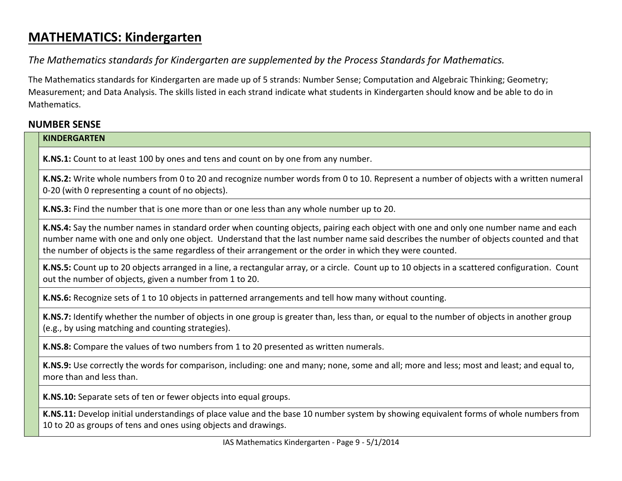# **MATHEMATICS: Kindergarten**

# *The Mathematics standards for Kindergarten are supplemented by the Process Standards for Mathematics.*

The Mathematics standards for Kindergarten are made up of 5 strands: Number Sense; Computation and Algebraic Thinking; Geometry; Measurement; and Data Analysis. The skills listed in each strand indicate what students in Kindergarten should know and be able to do in Mathematics.

# **NUMBER SENSE**

**KINDERGARTEN**

**K.NS.1:** Count to at least 100 by ones and tens and count on by one from any number.

**K.NS.2:** Write whole numbers from 0 to 20 and recognize number words from 0 to 10. Represent a number of objects with a written numeral 0-20 (with 0 representing a count of no objects).

**K.NS.3:** Find the number that is one more than or one less than any whole number up to 20.

**K.NS.4:** Say the number names in standard order when counting objects, pairing each object with one and only one number name and each number name with one and only one object. Understand that the last number name said describes the number of objects counted and that the number of objects is the same regardless of their arrangement or the order in which they were counted.

**K.NS.5:** Count up to 20 objects arranged in a line, a rectangular array, or a circle. Count up to 10 objects in a scattered configuration. Count out the number of objects, given a number from 1 to 20.

**K.NS.6:** Recognize sets of 1 to 10 objects in patterned arrangements and tell how many without counting.

**K.NS.7:** Identify whether the number of objects in one group is greater than, less than, or equal to the number of objects in another group (e.g., by using matching and counting strategies).

**K.NS.8:** Compare the values of two numbers from 1 to 20 presented as written numerals.

**K.NS.9:** Use correctly the words for comparison, including: one and many; none, some and all; more and less; most and least; and equal to, more than and less than.

**K.NS.10:** Separate sets of ten or fewer objects into equal groups.

**K.NS.11:** Develop initial understandings of place value and the base 10 number system by showing equivalent forms of whole numbers from 10 to 20 as groups of tens and ones using objects and drawings.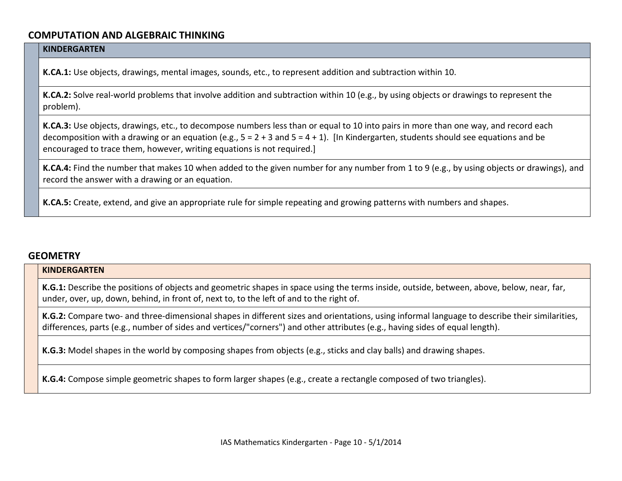# **COMPUTATION AND ALGEBRAIC THINKING**

## **KINDERGARTEN**

**K.CA.1:** Use objects, drawings, mental images, sounds, etc., to represent addition and subtraction within 10.

**K.CA.2:** Solve real-world problems that involve addition and subtraction within 10 (e.g., by using objects or drawings to represent the problem).

**K.CA.3:** Use objects, drawings, etc., to decompose numbers less than or equal to 10 into pairs in more than one way, and record each decomposition with a drawing or an equation (e.g.,  $5 = 2 + 3$  and  $5 = 4 + 1$ ). [In Kindergarten, students should see equations and be encouraged to trace them, however, writing equations is not required.]

**K.CA.4:** Find the number that makes 10 when added to the given number for any number from 1 to 9 (e.g., by using objects or drawings), and record the answer with a drawing or an equation.

**K.CA.5:** Create, extend, and give an appropriate rule for simple repeating and growing patterns with numbers and shapes.

# **GEOMETRY**

## **KINDERGARTEN**

**K.G.1:** Describe the positions of objects and geometric shapes in space using the terms inside, outside, between, above, below, near, far, under, over, up, down, behind, in front of, next to, to the left of and to the right of.

**K.G.2:** Compare two- and three-dimensional shapes in different sizes and orientations, using informal language to describe their similarities, differences, parts (e.g., number of sides and vertices/"corners") and other attributes (e.g., having sides of equal length).

**K.G.3:** Model shapes in the world by composing shapes from objects (e.g., sticks and clay balls) and drawing shapes.

**K.G.4:** Compose simple geometric shapes to form larger shapes (e.g., create a rectangle composed of two triangles).